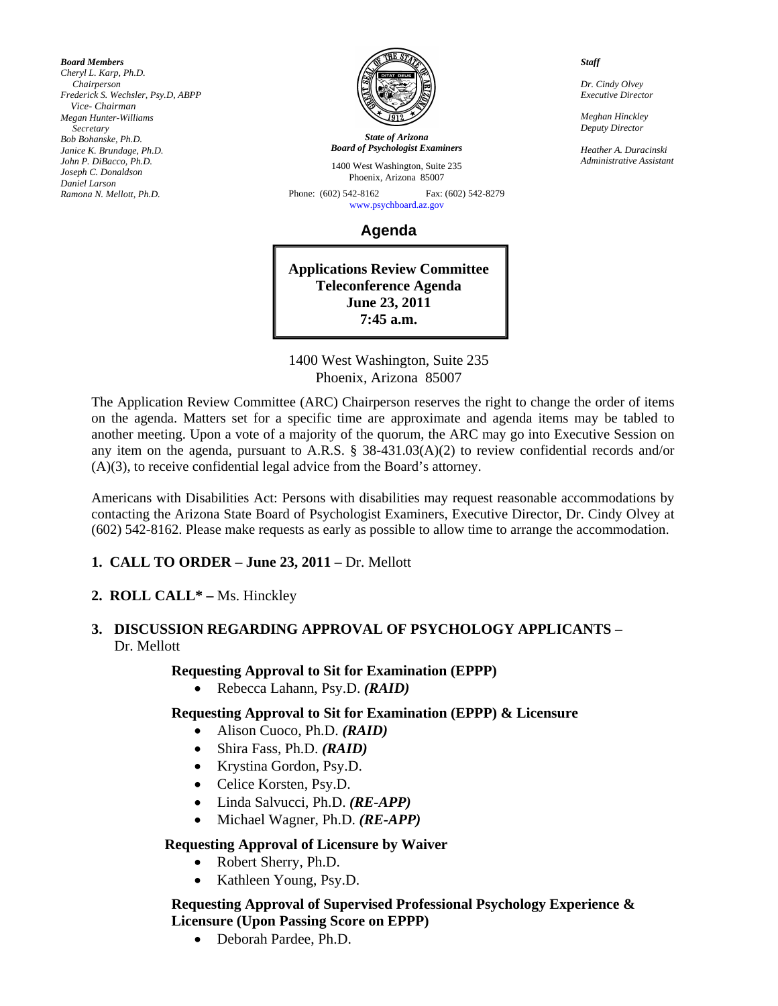*Board Members Cheryl L. Karp, Ph.D. Chairperson Frederick S. Wechsler, Psy.D, ABPP Vice- Chairman Megan Hunter-Williams Secretary Bob Bohanske, Ph.D. Janice K. Brundage, Ph.D. John P. DiBacco, Ph.D. Joseph C. Donaldson Daniel Larson Ramona N. Mellott, Ph.D.* 



*State of Arizona Board of Psychologist Examiners*

1400 West Washington, Suite 235 Phoenix, Arizona 85007

Phone: (602) 542-8162 Fax: (602) 542-8279 [www.psychboard.az.gov](http://www.psychboard.az.gov/) 

**Agenda** 

**Applications Review Committee Teleconference Agenda June 23, 2011 7:45 a.m.** 

1400 West Washington, Suite 235 Phoenix, Arizona 85007

The Application Review Committee (ARC) Chairperson reserves the right to change the order of items on the agenda. Matters set for a specific time are approximate and agenda items may be tabled to another meeting. Upon a vote of a majority of the quorum, the ARC may go into Executive Session on any item on the agenda, pursuant to A.R.S. § 38-431.03(A)(2) to review confidential records and/or (A)(3), to receive confidential legal advice from the Board's attorney.

Americans with Disabilities Act: Persons with disabilities may request reasonable accommodations by contacting the Arizona State Board of Psychologist Examiners, Executive Director, Dr. Cindy Olvey at (602) 542-8162. Please make requests as early as possible to allow time to arrange the accommodation.

## **1. CALL TO ORDER – June 23, 2011 – Dr. Mellott**

**2. ROLL CALL\* –** Ms. Hinckley

#### **3. DISCUSSION REGARDING APPROVAL OF PSYCHOLOGY APPLICANTS –**  Dr. Mellott

**Requesting Approval to Sit for Examination (EPPP)** 

Rebecca Lahann, Psy.D. *(RAID)*

### **Requesting Approval to Sit for Examination (EPPP) & Licensure**

- Alison Cuoco, Ph.D. *(RAID)*
- Shira Fass, Ph.D. *(RAID)*
- Krystina Gordon, Psy.D.
- Celice Korsten, Psy.D.
- Linda Salvucci, Ph.D. *(RE-APP)*
- Michael Wagner, Ph.D. *(RE-APP)*

### **Requesting Approval of Licensure by Waiver**

- Robert Sherry, Ph.D.
- Kathleen Young, Psy.D.

#### **Requesting Approval of Supervised Professional Psychology Experience & Licensure (Upon Passing Score on EPPP)**

Deborah Pardee, Ph.D.

*Staff* 

*Dr. Cindy Olvey Executive Director* 

*Meghan Hinckley Deputy Director* 

*Heather A. Duracinski Administrative Assistant*